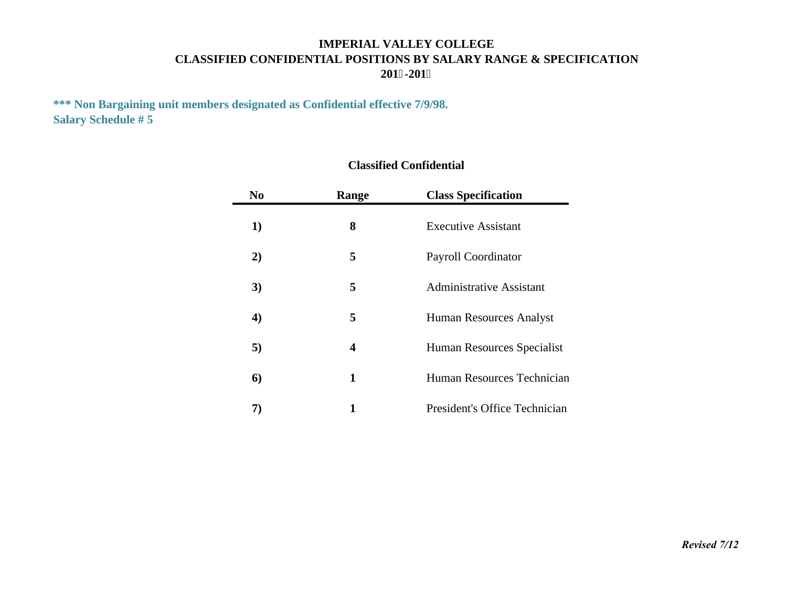# **IMPERIAL VALLEY COLLEGECLASSIFIED CONFIDENTIAL POSITIONS BY SALARY RANGE & SPECIFICATION 201 -201**

**\*\*\* Non Bargaining unit members designated as Confidential effective 7/9/98. Salary Schedule # 5**

| N <sub>0</sub>   | Range            | <b>Class Specification</b>      |  |  |  |  |  |  |  |
|------------------|------------------|---------------------------------|--|--|--|--|--|--|--|
| 1)               | 8                | <b>Executive Assistant</b>      |  |  |  |  |  |  |  |
| 2)               | 5                | <b>Payroll Coordinator</b>      |  |  |  |  |  |  |  |
| 3)               | 5                | <b>Administrative Assistant</b> |  |  |  |  |  |  |  |
| $\boldsymbol{4}$ | 5                | Human Resources Analyst         |  |  |  |  |  |  |  |
| 5)               | $\boldsymbol{4}$ | Human Resources Specialist      |  |  |  |  |  |  |  |
| 6)               | 1                | Human Resources Technician      |  |  |  |  |  |  |  |
|                  | 1                | President's Office Technician   |  |  |  |  |  |  |  |

#### **Classified Confidential**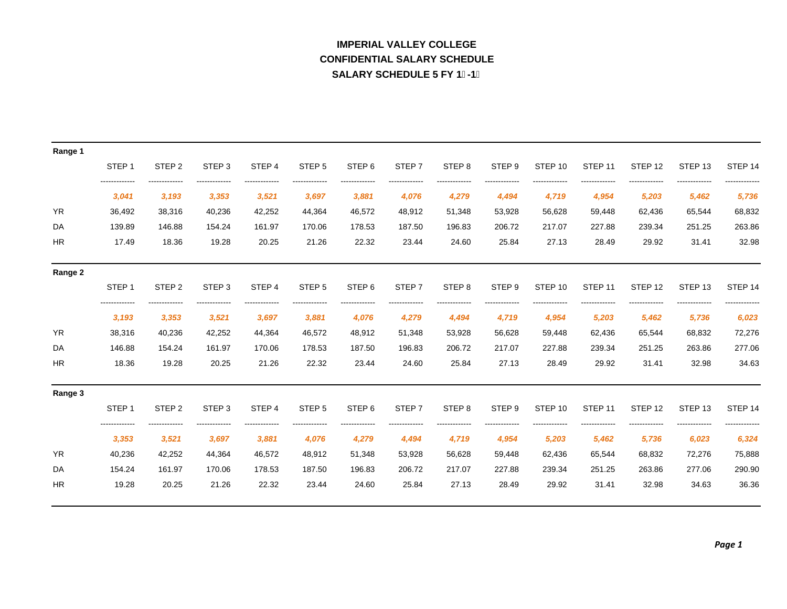# **IMPERIAL VALLEY COLLEGECONFIDENTIAL SALARY SCHEDULE SALARY SCHEDULE 5 FY 1-1**

| Range 1   |                       |                   |                   |                   |                   |                   |                   |                   |                   |                    |                    |                    |                    |                     |
|-----------|-----------------------|-------------------|-------------------|-------------------|-------------------|-------------------|-------------------|-------------------|-------------------|--------------------|--------------------|--------------------|--------------------|---------------------|
|           | STEP <sub>1</sub>     | STEP <sub>2</sub> | STEP <sub>3</sub> | STEP <sub>4</sub> | STEP <sub>5</sub> | STEP <sub>6</sub> | STEP <sub>7</sub> | STEP <sub>8</sub> | STEP <sub>9</sub> | STEP 10            | STEP <sub>11</sub> | STEP <sub>12</sub> | STEP <sub>13</sub> | STEP <sub>14</sub>  |
|           | 3,041                 | 3,193             | 3,353             | 3,521             | 3,697             | 3,881             | 4,076             | 4,279             | 4,494             | 4,719              | 4,954              | 5,203              | 5,462              | 5,736               |
| <b>YR</b> | 36,492                | 38,316            | 40,236            | 42,252            | 44,364            | 46,572            | 48,912            | 51,348            | 53,928            | 56,628             | 59,448             | 62,436             | 65,544             | 68,832              |
| DA        | 139.89                | 146.88            | 154.24            | 161.97            | 170.06            | 178.53            | 187.50            | 196.83            | 206.72            | 217.07             | 227.88             | 239.34             | 251.25             | 263.86              |
| <b>HR</b> | 17.49                 | 18.36             | 19.28             | 20.25             | 21.26             | 22.32             | 23.44             | 24.60             | 25.84             | 27.13              | 28.49              | 29.92              | 31.41              | 32.98               |
| Range 2   |                       |                   |                   |                   |                   |                   |                   |                   |                   |                    |                    |                    |                    |                     |
|           | STEP <sub>1</sub>     | STEP <sub>2</sub> | STEP <sub>3</sub> | STEP <sub>4</sub> | STEP <sub>5</sub> | STEP <sub>6</sub> | STEP <sub>7</sub> | STEP <sub>8</sub> | STEP <sub>9</sub> | STEP 10            | STEP <sub>11</sub> | STEP <sub>12</sub> | STEP <sub>13</sub> | STEP <sub>14</sub>  |
|           | 3,193                 | 3,353             | 3,521             | 3,697             | 3,881             | 4,076             | 4,279             | 4,494             | 4,719             | 4,954              | 5,203              | 5,462              | 5,736              | 6,023               |
| <b>YR</b> | 38,316                | 40,236            | 42,252            | 44,364            | 46,572            | 48,912            | 51,348            | 53,928            | 56,628            | 59,448             | 62,436             | 65,544             | 68,832             | 72,276              |
| DA        | 146.88                | 154.24            | 161.97            | 170.06            | 178.53            | 187.50            | 196.83            | 206.72            | 217.07            | 227.88             | 239.34             | 251.25             | 263.86             | 277.06              |
| <b>HR</b> | 18.36                 | 19.28             | 20.25             | 21.26             | 22.32             | 23.44             | 24.60             | 25.84             | 27.13             | 28.49              | 29.92              | 31.41              | 32.98              | 34.63               |
| Range 3   |                       |                   |                   |                   |                   |                   |                   |                   |                   |                    |                    |                    |                    |                     |
|           | STEP <sub>1</sub>     | STEP <sub>2</sub> | STEP <sub>3</sub> | STEP <sub>4</sub> | STEP <sub>5</sub> | STEP <sub>6</sub> | STEP <sub>7</sub> | STEP <sub>8</sub> | STEP <sub>9</sub> | STEP <sub>10</sub> | STEP <sub>11</sub> | STEP <sub>12</sub> | STEP <sub>13</sub> | STEP 14             |
|           | ------------<br>3,353 | 3,521             | 3,697             | 3,881             | 4,076             | 4,279             | 4,494             | 4,719             | 4,954             | 5,203              | 5,462              | 5,736              | 6,023              | . <u>.</u><br>6,324 |
| <b>YR</b> | 40,236                | 42,252            | 44,364            | 46,572            | 48,912            | 51,348            | 53,928            | 56,628            | 59,448            | 62,436             | 65,544             | 68,832             | 72,276             | 75,888              |
| DA        | 154.24                | 161.97            | 170.06            | 178.53            | 187.50            | 196.83            | 206.72            | 217.07            | 227.88            | 239.34             | 251.25             | 263.86             | 277.06             | 290.90              |
| <b>HR</b> | 19.28                 | 20.25             | 21.26             | 22.32             | 23.44             | 24.60             | 25.84             | 27.13             | 28.49             | 29.92              | 31.41              | 32.98              | 34.63              | 36.36               |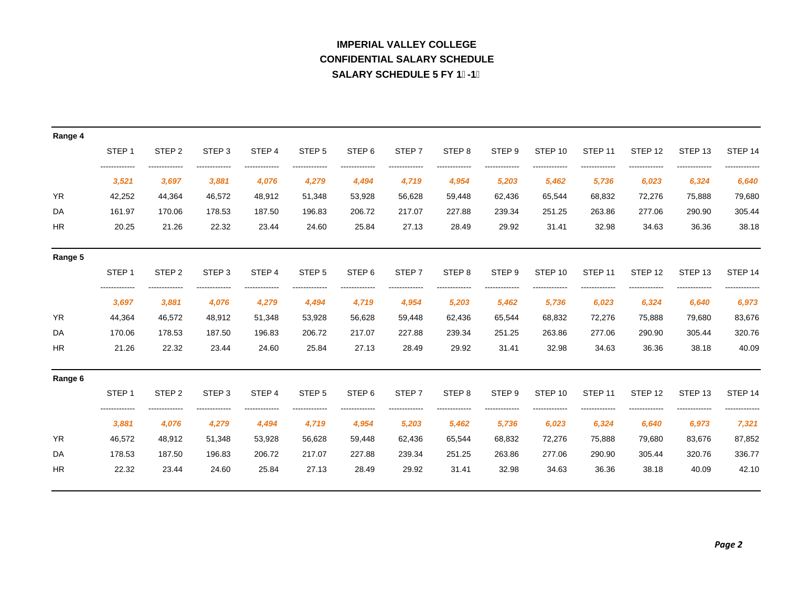# **CONFIDENTIAL SALARY SCHEDULEIMPERIAL VALLEY COLLEGESALARY SCHEDULE 5 FY 1-1**

| Range 4   |                   |                   |                   |        |                   |                   |                   |                   |                   |                    |                    |                    |                    |                    |
|-----------|-------------------|-------------------|-------------------|--------|-------------------|-------------------|-------------------|-------------------|-------------------|--------------------|--------------------|--------------------|--------------------|--------------------|
|           | STEP <sub>1</sub> | STEP <sub>2</sub> | STEP <sub>3</sub> | STEP 4 | STEP <sub>5</sub> | STEP <sub>6</sub> | STEP <sub>7</sub> | STEP <sub>8</sub> | STEP <sub>9</sub> | STEP <sub>10</sub> | STEP <sub>11</sub> | STEP 12            | STEP <sub>13</sub> | STEP 14            |
|           | 3,521             | 3,697             | 3,881             | 4,076  | 4,279             | 4,494             | 4,719             | 4,954             | 5,203             | 5,462              | 5,736              | 6,023              | 6,324              | 6,640              |
| <b>YR</b> | 42,252            | 44,364            | 46,572            | 48,912 | 51,348            | 53,928            | 56,628            | 59,448            | 62,436            | 65,544             | 68,832             | 72,276             | 75,888             | 79,680             |
| DA        | 161.97            | 170.06            | 178.53            | 187.50 | 196.83            | 206.72            | 217.07            | 227.88            | 239.34            | 251.25             | 263.86             | 277.06             | 290.90             | 305.44             |
| <b>HR</b> | 20.25             | 21.26             | 22.32             | 23.44  | 24.60             | 25.84             | 27.13             | 28.49             | 29.92             | 31.41              | 32.98              | 34.63              | 36.36              | 38.18              |
| Range 5   |                   |                   |                   |        |                   |                   |                   |                   |                   |                    |                    |                    |                    |                    |
|           | STEP <sub>1</sub> | STEP <sub>2</sub> | STEP <sub>3</sub> | STEP 4 | STEP <sub>5</sub> | STEP <sub>6</sub> | STEP <sub>7</sub> | STEP <sub>8</sub> | STEP <sub>9</sub> | STEP <sub>10</sub> | STEP <sub>11</sub> | STEP 12            | STEP <sub>13</sub> | STEP 14            |
|           | 3,697             | 3,881             | 4,076             | 4,279  | 4,494             | 4,719             | 4,954             | 5,203             | 5,462             | 5,736              | 6,023              | 6,324              | 6,640              | 6,973              |
| <b>YR</b> | 44,364            | 46,572            | 48,912            | 51,348 | 53,928            | 56,628            | 59,448            | 62,436            | 65,544            | 68,832             | 72,276             | 75,888             | 79,680             | 83,676             |
| DA        | 170.06            | 178.53            | 187.50            | 196.83 | 206.72            | 217.07            | 227.88            | 239.34            | 251.25            | 263.86             | 277.06             | 290.90             | 305.44             | 320.76             |
| <b>HR</b> | 21.26             | 22.32             | 23.44             | 24.60  | 25.84             | 27.13             | 28.49             | 29.92             | 31.41             | 32.98              | 34.63              | 36.36              | 38.18              | 40.09              |
| Range 6   |                   |                   |                   |        |                   |                   |                   |                   |                   |                    |                    |                    |                    |                    |
|           | STEP <sub>1</sub> | STEP <sub>2</sub> | STEP <sub>3</sub> | STEP 4 | STEP <sub>5</sub> | STEP <sub>6</sub> | STEP <sub>7</sub> | STEP <sub>8</sub> | STEP <sub>9</sub> | STEP <sub>10</sub> | STEP <sub>11</sub> | STEP <sub>12</sub> | STEP <sub>13</sub> | STEP <sub>14</sub> |
|           | 3,881             | 4,076             | 4,279             | 4,494  | 4,719             | 4,954             | 5,203             | 5,462             | 5,736             | 6,023              | 6,324              | 6,640              | 6,973              | 7,321              |
| <b>YR</b> | 46,572            | 48,912            | 51,348            | 53,928 | 56,628            | 59,448            | 62,436            | 65,544            | 68,832            | 72,276             | 75,888             | 79,680             | 83,676             | 87,852             |
| DA        | 178.53            | 187.50            | 196.83            | 206.72 | 217.07            | 227.88            | 239.34            | 251.25            | 263.86            | 277.06             | 290.90             | 305.44             | 320.76             | 336.77             |
| <b>HR</b> | 22.32             | 23.44             | 24.60             | 25.84  | 27.13             | 28.49             | 29.92             | 31.41             | 32.98             | 34.63              | 36.36              | 38.18              | 40.09              | 42.10              |